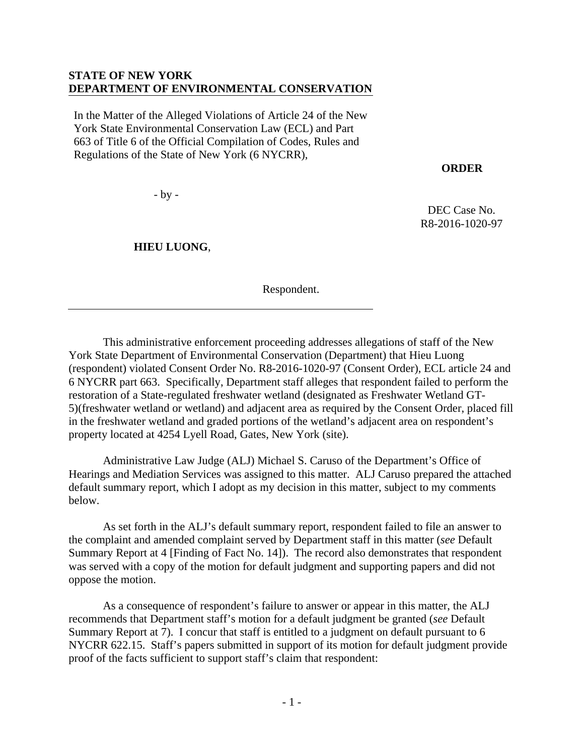### **STATE OF NEW YORK DEPARTMENT OF ENVIRONMENTAL CONSERVATION**

In the Matter of the Alleged Violations of Article 24 of the New York State Environmental Conservation Law (ECL) and Part 663 of Title 6 of the Official Compilation of Codes, Rules and Regulations of the State of New York (6 NYCRR),

### **ORDER**

DEC Case No. R8-2016-1020-97

- by -

 **HIEU LUONG**,

Respondent.

 This administrative enforcement proceeding addresses allegations of staff of the New York State Department of Environmental Conservation (Department) that Hieu Luong (respondent) violated Consent Order No. R8-2016-1020-97 (Consent Order), ECL article 24 and 6 NYCRR part 663. Specifically, Department staff alleges that respondent failed to perform the restoration of a State-regulated freshwater wetland (designated as Freshwater Wetland GT-5)(freshwater wetland or wetland) and adjacent area as required by the Consent Order, placed fill in the freshwater wetland and graded portions of the wetland's adjacent area on respondent's property located at 4254 Lyell Road, Gates, New York (site).

Administrative Law Judge (ALJ) Michael S. Caruso of the Department's Office of Hearings and Mediation Services was assigned to this matter. ALJ Caruso prepared the attached default summary report, which I adopt as my decision in this matter, subject to my comments below.

As set forth in the ALJ's default summary report, respondent failed to file an answer to the complaint and amended complaint served by Department staff in this matter (*see* Default Summary Report at 4 [Finding of Fact No. 14]). The record also demonstrates that respondent was served with a copy of the motion for default judgment and supporting papers and did not oppose the motion.

As a consequence of respondent's failure to answer or appear in this matter, the ALJ recommends that Department staff's motion for a default judgment be granted (*see* Default Summary Report at 7). I concur that staff is entitled to a judgment on default pursuant to 6 NYCRR 622.15. Staff's papers submitted in support of its motion for default judgment provide proof of the facts sufficient to support staff's claim that respondent: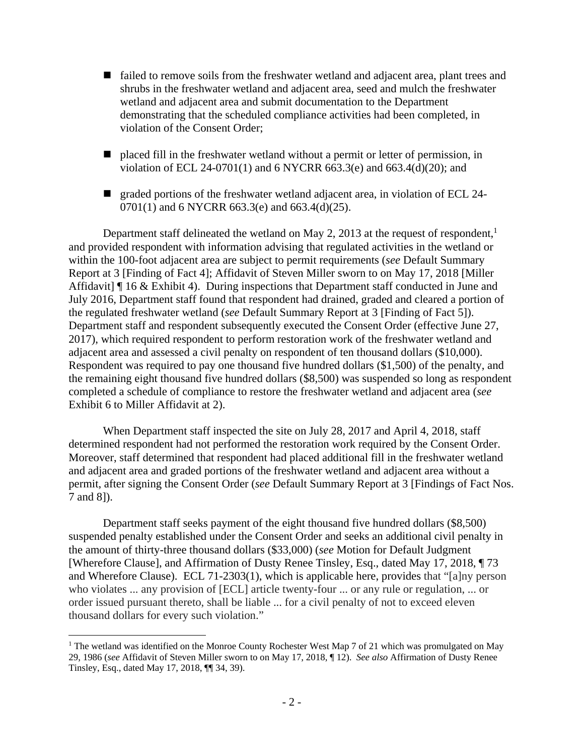- $\blacksquare$  failed to remove soils from the freshwater wetland and adjacent area, plant trees and shrubs in the freshwater wetland and adjacent area, seed and mulch the freshwater wetland and adjacent area and submit documentation to the Department demonstrating that the scheduled compliance activities had been completed, in violation of the Consent Order;
- placed fill in the freshwater wetland without a permit or letter of permission, in violation of ECL 24-0701(1) and 6 NYCRR 663.3(e) and 663.4(d)(20); and
- graded portions of the freshwater wetland adjacent area, in violation of ECL 24-0701(1) and 6 NYCRR 663.3(e) and 663.4(d)(25).

Department staff delineated the wetland on May 2, 2013 at the request of respondent,<sup>1</sup> and provided respondent with information advising that regulated activities in the wetland or within the 100-foot adjacent area are subject to permit requirements (*see* Default Summary Report at 3 [Finding of Fact 4]; Affidavit of Steven Miller sworn to on May 17, 2018 [Miller Affidavit] If 16 & Exhibit 4). During inspections that Department staff conducted in June and July 2016, Department staff found that respondent had drained, graded and cleared a portion of the regulated freshwater wetland (*see* Default Summary Report at 3 [Finding of Fact 5]). Department staff and respondent subsequently executed the Consent Order (effective June 27, 2017), which required respondent to perform restoration work of the freshwater wetland and adjacent area and assessed a civil penalty on respondent of ten thousand dollars (\$10,000). Respondent was required to pay one thousand five hundred dollars (\$1,500) of the penalty, and the remaining eight thousand five hundred dollars (\$8,500) was suspended so long as respondent completed a schedule of compliance to restore the freshwater wetland and adjacent area (*see* Exhibit 6 to Miller Affidavit at 2).

When Department staff inspected the site on July 28, 2017 and April 4, 2018, staff determined respondent had not performed the restoration work required by the Consent Order. Moreover, staff determined that respondent had placed additional fill in the freshwater wetland and adjacent area and graded portions of the freshwater wetland and adjacent area without a permit, after signing the Consent Order (*see* Default Summary Report at 3 [Findings of Fact Nos. 7 and 8]).

Department staff seeks payment of the eight thousand five hundred dollars (\$8,500) suspended penalty established under the Consent Order and seeks an additional civil penalty in the amount of thirty-three thousand dollars (\$33,000) (*see* Motion for Default Judgment [Wherefore Clause], and Affirmation of Dusty Renee Tinsley, Esq., dated May 17, 2018, ¶ 73 and Wherefore Clause). ECL 71-2303(1), which is applicable here, provides that "[a]ny person who violates ... any provision of [ECL] article twenty-four ... or any rule or regulation, ... or order issued pursuant thereto, shall be liable ... for a civil penalty of not to exceed eleven thousand dollars for every such violation."

<sup>1</sup> <sup>1</sup> The wetland was identified on the Monroe County Rochester West Map 7 of 21 which was promulgated on May 29, 1986 (*see* Affidavit of Steven Miller sworn to on May 17, 2018, ¶ 12). *See also* Affirmation of Dusty Renee Tinsley, Esq., dated May 17, 2018, ¶¶ 34, 39).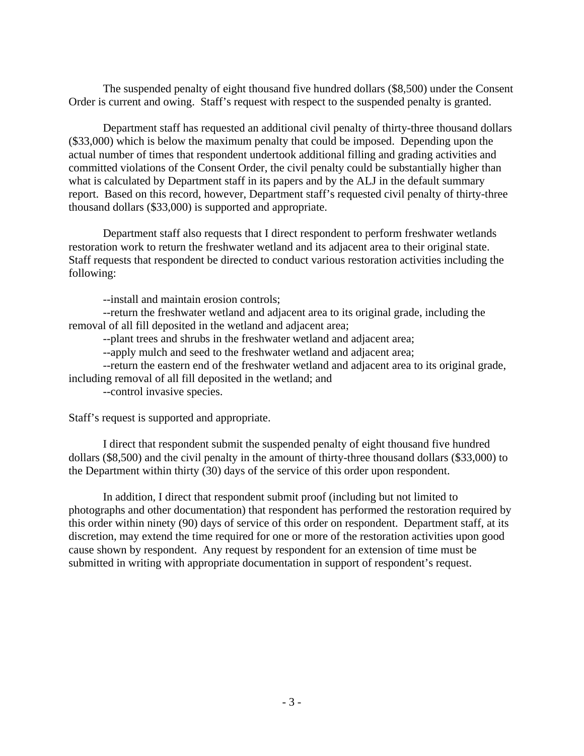The suspended penalty of eight thousand five hundred dollars (\$8,500) under the Consent Order is current and owing. Staff's request with respect to the suspended penalty is granted.

Department staff has requested an additional civil penalty of thirty-three thousand dollars (\$33,000) which is below the maximum penalty that could be imposed. Depending upon the actual number of times that respondent undertook additional filling and grading activities and committed violations of the Consent Order, the civil penalty could be substantially higher than what is calculated by Department staff in its papers and by the ALJ in the default summary report. Based on this record, however, Department staff's requested civil penalty of thirty-three thousand dollars (\$33,000) is supported and appropriate.

 Department staff also requests that I direct respondent to perform freshwater wetlands restoration work to return the freshwater wetland and its adjacent area to their original state. Staff requests that respondent be directed to conduct various restoration activities including the following:

--install and maintain erosion controls;

--return the freshwater wetland and adjacent area to its original grade, including the removal of all fill deposited in the wetland and adjacent area;

--plant trees and shrubs in the freshwater wetland and adjacent area;

--apply mulch and seed to the freshwater wetland and adjacent area;

--return the eastern end of the freshwater wetland and adjacent area to its original grade, including removal of all fill deposited in the wetland; and

--control invasive species.

Staff's request is supported and appropriate.

 I direct that respondent submit the suspended penalty of eight thousand five hundred dollars (\$8,500) and the civil penalty in the amount of thirty-three thousand dollars (\$33,000) to the Department within thirty (30) days of the service of this order upon respondent.

In addition, I direct that respondent submit proof (including but not limited to photographs and other documentation) that respondent has performed the restoration required by this order within ninety (90) days of service of this order on respondent. Department staff, at its discretion, may extend the time required for one or more of the restoration activities upon good cause shown by respondent. Any request by respondent for an extension of time must be submitted in writing with appropriate documentation in support of respondent's request.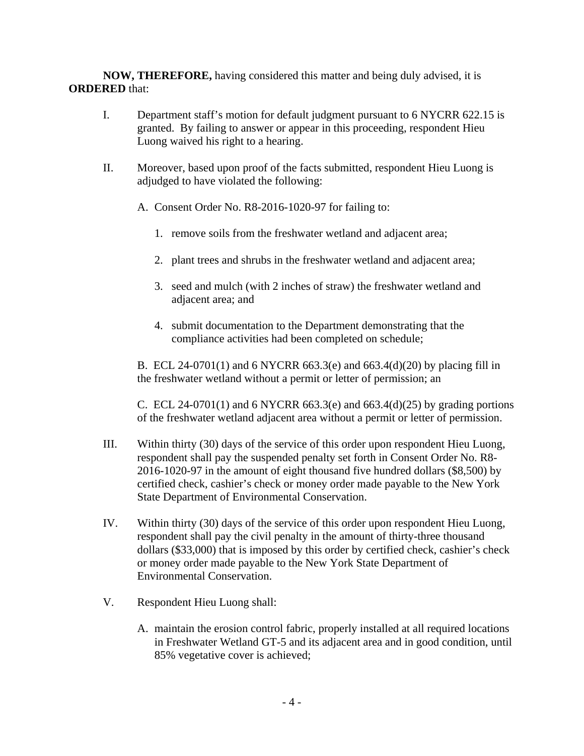**NOW, THEREFORE,** having considered this matter and being duly advised, it is **ORDERED** that:

- I. Department staff's motion for default judgment pursuant to 6 NYCRR 622.15 is granted. By failing to answer or appear in this proceeding, respondent Hieu Luong waived his right to a hearing.
- II. Moreover, based upon proof of the facts submitted, respondent Hieu Luong is adjudged to have violated the following:
	- A. Consent Order No. R8-2016-1020-97 for failing to:
		- 1. remove soils from the freshwater wetland and adjacent area;
		- 2. plant trees and shrubs in the freshwater wetland and adjacent area;
		- 3. seed and mulch (with 2 inches of straw) the freshwater wetland and adjacent area; and
		- 4. submit documentation to the Department demonstrating that the compliance activities had been completed on schedule;

B. ECL 24-0701(1) and 6 NYCRR 663.3(e) and 663.4(d)(20) by placing fill in the freshwater wetland without a permit or letter of permission; an

C. ECL 24-0701(1) and 6 NYCRR 663.3(e) and 663.4(d)(25) by grading portions of the freshwater wetland adjacent area without a permit or letter of permission.

- III. Within thirty (30) days of the service of this order upon respondent Hieu Luong, respondent shall pay the suspended penalty set forth in Consent Order No. R8- 2016-1020-97 in the amount of eight thousand five hundred dollars (\$8,500) by certified check, cashier's check or money order made payable to the New York State Department of Environmental Conservation.
- IV. Within thirty (30) days of the service of this order upon respondent Hieu Luong, respondent shall pay the civil penalty in the amount of thirty-three thousand dollars (\$33,000) that is imposed by this order by certified check, cashier's check or money order made payable to the New York State Department of Environmental Conservation.
- V. Respondent Hieu Luong shall:
	- A. maintain the erosion control fabric, properly installed at all required locations in Freshwater Wetland GT-5 and its adjacent area and in good condition, until 85% vegetative cover is achieved;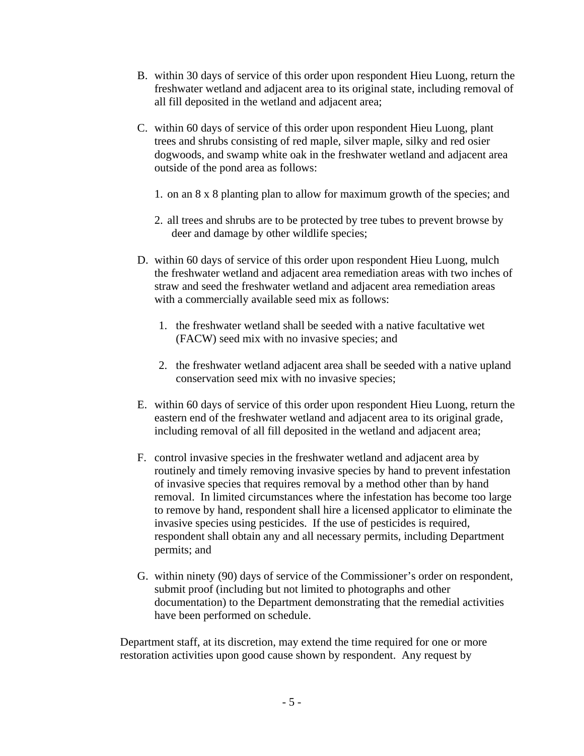- B. within 30 days of service of this order upon respondent Hieu Luong, return the freshwater wetland and adjacent area to its original state, including removal of all fill deposited in the wetland and adjacent area;
- C. within 60 days of service of this order upon respondent Hieu Luong, plant trees and shrubs consisting of red maple, silver maple, silky and red osier dogwoods, and swamp white oak in the freshwater wetland and adjacent area outside of the pond area as follows:
	- 1. on an 8 x 8 planting plan to allow for maximum growth of the species; and
	- 2. all trees and shrubs are to be protected by tree tubes to prevent browse by deer and damage by other wildlife species;
- D. within 60 days of service of this order upon respondent Hieu Luong, mulch the freshwater wetland and adjacent area remediation areas with two inches of straw and seed the freshwater wetland and adjacent area remediation areas with a commercially available seed mix as follows:
	- 1. the freshwater wetland shall be seeded with a native facultative wet (FACW) seed mix with no invasive species; and
	- 2. the freshwater wetland adjacent area shall be seeded with a native upland conservation seed mix with no invasive species;
- E. within 60 days of service of this order upon respondent Hieu Luong, return the eastern end of the freshwater wetland and adjacent area to its original grade, including removal of all fill deposited in the wetland and adjacent area;
- F. control invasive species in the freshwater wetland and adjacent area by routinely and timely removing invasive species by hand to prevent infestation of invasive species that requires removal by a method other than by hand removal. In limited circumstances where the infestation has become too large to remove by hand, respondent shall hire a licensed applicator to eliminate the invasive species using pesticides. If the use of pesticides is required, respondent shall obtain any and all necessary permits, including Department permits; and
- G. within ninety (90) days of service of the Commissioner's order on respondent, submit proof (including but not limited to photographs and other documentation) to the Department demonstrating that the remedial activities have been performed on schedule.

Department staff, at its discretion, may extend the time required for one or more restoration activities upon good cause shown by respondent. Any request by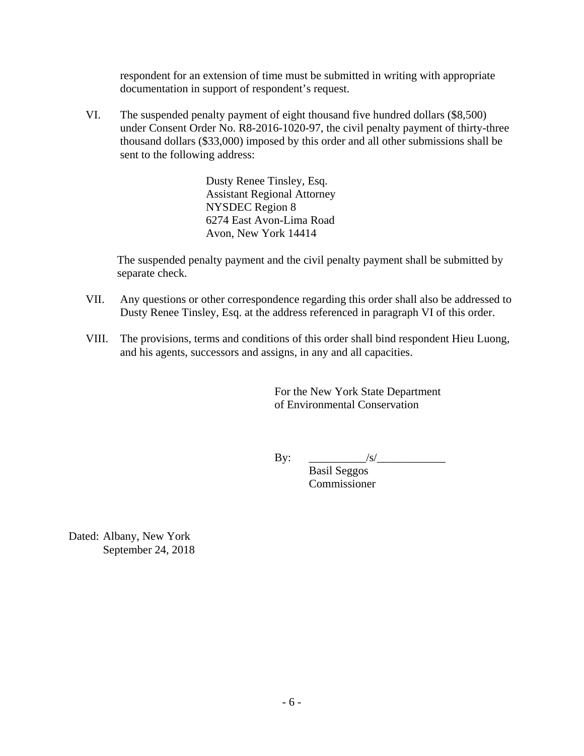respondent for an extension of time must be submitted in writing with appropriate documentation in support of respondent's request.

VI. The suspended penalty payment of eight thousand five hundred dollars (\$8,500) under Consent Order No. R8-2016-1020-97, the civil penalty payment of thirty-three thousand dollars (\$33,000) imposed by this order and all other submissions shall be sent to the following address:

> Dusty Renee Tinsley, Esq. Assistant Regional Attorney NYSDEC Region 8 6274 East Avon-Lima Road Avon, New York 14414

The suspended penalty payment and the civil penalty payment shall be submitted by separate check.

- VII. Any questions or other correspondence regarding this order shall also be addressed to Dusty Renee Tinsley, Esq. at the address referenced in paragraph VI of this order.
- VIII. The provisions, terms and conditions of this order shall bind respondent Hieu Luong, and his agents, successors and assigns, in any and all capacities.

For the New York State Department of Environmental Conservation

By: \_\_\_\_\_\_\_\_\_\_/s/\_\_\_\_\_\_\_\_\_\_\_\_

 Basil Seggos Commissioner

Dated: Albany, New York September 24, 2018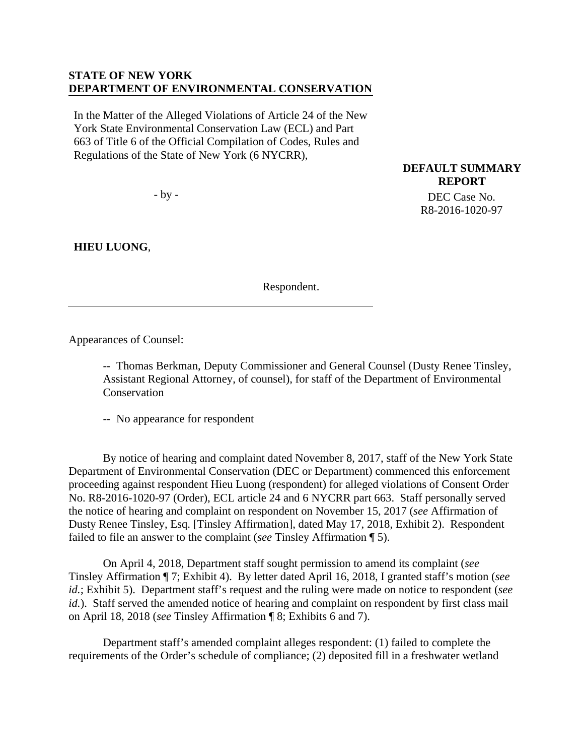### **STATE OF NEW YORK DEPARTMENT OF ENVIRONMENTAL CONSERVATION**

In the Matter of the Alleged Violations of Article 24 of the New York State Environmental Conservation Law (ECL) and Part 663 of Title 6 of the Official Compilation of Codes, Rules and Regulations of the State of New York (6 NYCRR),

- by -

**HIEU LUONG**,

Respondent.

**DEFAULT SUMMARY REPORT**  DEC Case No. R8-2016-1020-97

Appearances of Counsel:

-- Thomas Berkman, Deputy Commissioner and General Counsel (Dusty Renee Tinsley, Assistant Regional Attorney, of counsel), for staff of the Department of Environmental **Conservation** 

-- No appearance for respondent

By notice of hearing and complaint dated November 8, 2017, staff of the New York State Department of Environmental Conservation (DEC or Department) commenced this enforcement proceeding against respondent Hieu Luong (respondent) for alleged violations of Consent Order No. R8-2016-1020-97 (Order), ECL article 24 and 6 NYCRR part 663. Staff personally served the notice of hearing and complaint on respondent on November 15, 2017 (*see* Affirmation of Dusty Renee Tinsley, Esq. [Tinsley Affirmation], dated May 17, 2018, Exhibit 2). Respondent failed to file an answer to the complaint (*see* Tinsley Affirmation ¶ 5).

 On April 4, 2018, Department staff sought permission to amend its complaint (*see* Tinsley Affirmation ¶ 7; Exhibit 4). By letter dated April 16, 2018, I granted staff's motion (*see id.*; Exhibit 5). Department staff's request and the ruling were made on notice to respondent (*see id.*). Staff served the amended notice of hearing and complaint on respondent by first class mail on April 18, 2018 (*see* Tinsley Affirmation ¶ 8; Exhibits 6 and 7).

Department staff's amended complaint alleges respondent: (1) failed to complete the requirements of the Order's schedule of compliance; (2) deposited fill in a freshwater wetland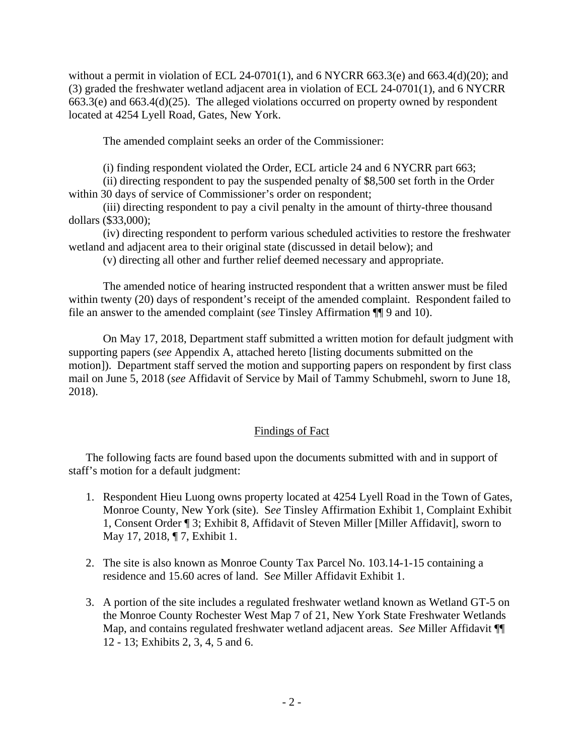without a permit in violation of ECL 24-0701(1), and 6 NYCRR 663.3(e) and 663.4(d)(20); and (3) graded the freshwater wetland adjacent area in violation of ECL 24-0701(1), and 6 NYCRR 663.3(e) and 663.4(d)(25). The alleged violations occurred on property owned by respondent located at 4254 Lyell Road, Gates, New York.

The amended complaint seeks an order of the Commissioner:

(i) finding respondent violated the Order, ECL article 24 and 6 NYCRR part 663;

(ii) directing respondent to pay the suspended penalty of \$8,500 set forth in the Order within 30 days of service of Commissioner's order on respondent;

(iii) directing respondent to pay a civil penalty in the amount of thirty-three thousand dollars (\$33,000);

(iv) directing respondent to perform various scheduled activities to restore the freshwater wetland and adjacent area to their original state (discussed in detail below); and

(v) directing all other and further relief deemed necessary and appropriate.

The amended notice of hearing instructed respondent that a written answer must be filed within twenty (20) days of respondent's receipt of the amended complaint. Respondent failed to file an answer to the amended complaint (*see* Tinsley Affirmation ¶¶ 9 and 10).

 On May 17, 2018, Department staff submitted a written motion for default judgment with supporting papers (*see* Appendix A, attached hereto [listing documents submitted on the motion]). Department staff served the motion and supporting papers on respondent by first class mail on June 5, 2018 (*see* Affidavit of Service by Mail of Tammy Schubmehl, sworn to June 18, 2018).

# Findings of Fact

The following facts are found based upon the documents submitted with and in support of staff's motion for a default judgment:

- 1. Respondent Hieu Luong owns property located at 4254 Lyell Road in the Town of Gates, Monroe County, New York (site). S*ee* Tinsley Affirmation Exhibit 1, Complaint Exhibit 1, Consent Order ¶ 3; Exhibit 8, Affidavit of Steven Miller [Miller Affidavit], sworn to May 17, 2018, ¶ 7, Exhibit 1.
- 2. The site is also known as Monroe County Tax Parcel No. 103.14-1-15 containing a residence and 15.60 acres of land. S*ee* Miller Affidavit Exhibit 1.
- 3. A portion of the site includes a regulated freshwater wetland known as Wetland GT-5 on the Monroe County Rochester West Map 7 of 21, New York State Freshwater Wetlands Map, and contains regulated freshwater wetland adjacent areas. S*ee* Miller Affidavit ¶¶ 12 - 13; Exhibits 2, 3, 4, 5 and 6.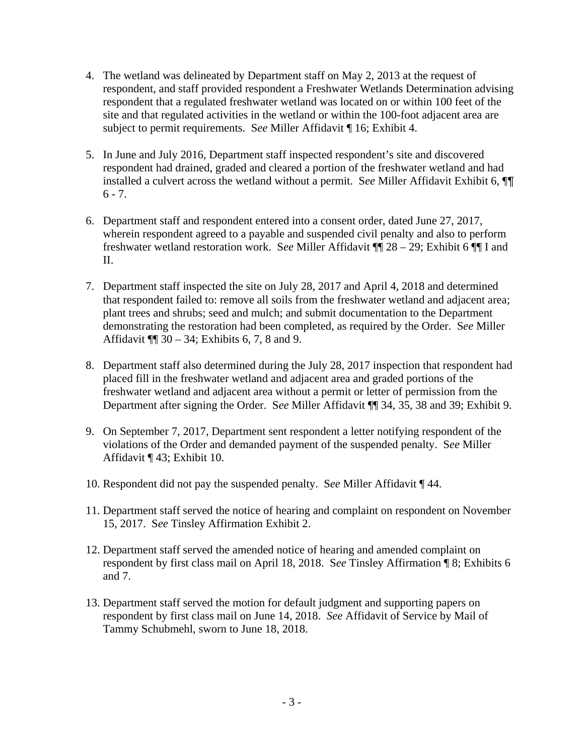- 4. The wetland was delineated by Department staff on May 2, 2013 at the request of respondent, and staff provided respondent a Freshwater Wetlands Determination advising respondent that a regulated freshwater wetland was located on or within 100 feet of the site and that regulated activities in the wetland or within the 100-foot adjacent area are subject to permit requirements. S*ee* Miller Affidavit ¶ 16; Exhibit 4.
- 5. In June and July 2016, Department staff inspected respondent's site and discovered respondent had drained, graded and cleared a portion of the freshwater wetland and had installed a culvert across the wetland without a permit. S*ee* Miller Affidavit Exhibit 6, ¶¶  $6 - 7$ .
- 6. Department staff and respondent entered into a consent order, dated June 27, 2017, wherein respondent agreed to a payable and suspended civil penalty and also to perform freshwater wetland restoration work. S*ee* Miller Affidavit ¶¶ 28 – 29; Exhibit 6 ¶¶ I and II.
- 7. Department staff inspected the site on July 28, 2017 and April 4, 2018 and determined that respondent failed to: remove all soils from the freshwater wetland and adjacent area; plant trees and shrubs; seed and mulch; and submit documentation to the Department demonstrating the restoration had been completed, as required by the Order. S*ee* Miller Affidavit ¶¶ 30 – 34; Exhibits 6, 7, 8 and 9.
- 8. Department staff also determined during the July 28, 2017 inspection that respondent had placed fill in the freshwater wetland and adjacent area and graded portions of the freshwater wetland and adjacent area without a permit or letter of permission from the Department after signing the Order. S*ee* Miller Affidavit ¶¶ 34, 35, 38 and 39; Exhibit 9.
- 9. On September 7, 2017, Department sent respondent a letter notifying respondent of the violations of the Order and demanded payment of the suspended penalty. S*ee* Miller Affidavit ¶ 43; Exhibit 10.
- 10. Respondent did not pay the suspended penalty. S*ee* Miller Affidavit ¶ 44.
- 11. Department staff served the notice of hearing and complaint on respondent on November 15, 2017. S*ee* Tinsley Affirmation Exhibit 2.
- 12. Department staff served the amended notice of hearing and amended complaint on respondent by first class mail on April 18, 2018. S*ee* Tinsley Affirmation ¶ 8; Exhibits 6 and 7.
- 13. Department staff served the motion for default judgment and supporting papers on respondent by first class mail on June 14, 2018. *See* Affidavit of Service by Mail of Tammy Schubmehl, sworn to June 18, 2018.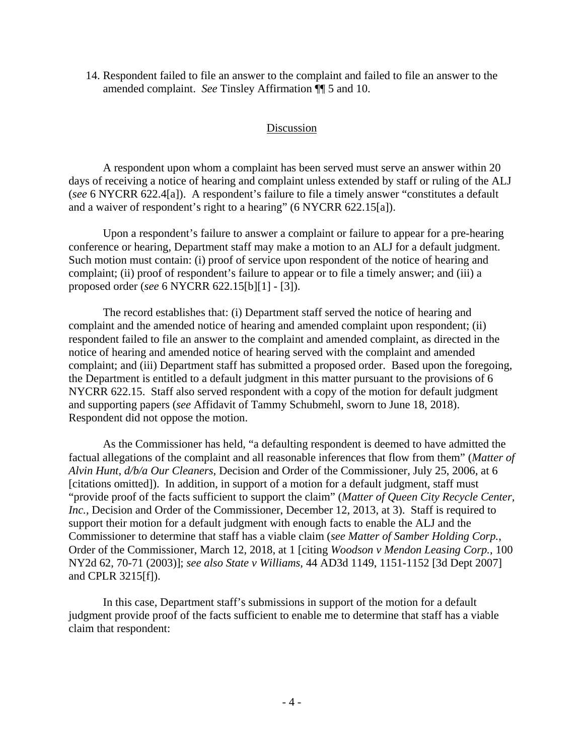14. Respondent failed to file an answer to the complaint and failed to file an answer to the amended complaint. *See* Tinsley Affirmation ¶¶ 5 and 10.

#### Discussion

A respondent upon whom a complaint has been served must serve an answer within 20 days of receiving a notice of hearing and complaint unless extended by staff or ruling of the ALJ (*see* 6 NYCRR 622.4[a]). A respondent's failure to file a timely answer "constitutes a default and a waiver of respondent's right to a hearing" (6 NYCRR 622.15[a]).

Upon a respondent's failure to answer a complaint or failure to appear for a pre-hearing conference or hearing, Department staff may make a motion to an ALJ for a default judgment. Such motion must contain: (i) proof of service upon respondent of the notice of hearing and complaint; (ii) proof of respondent's failure to appear or to file a timely answer; and (iii) a proposed order (*see* 6 NYCRR 622.15[b][1] - [3]).

The record establishes that: (i) Department staff served the notice of hearing and complaint and the amended notice of hearing and amended complaint upon respondent; (ii) respondent failed to file an answer to the complaint and amended complaint, as directed in the notice of hearing and amended notice of hearing served with the complaint and amended complaint; and (iii) Department staff has submitted a proposed order. Based upon the foregoing, the Department is entitled to a default judgment in this matter pursuant to the provisions of 6 NYCRR 622.15. Staff also served respondent with a copy of the motion for default judgment and supporting papers (*see* Affidavit of Tammy Schubmehl, sworn to June 18, 2018). Respondent did not oppose the motion.

 As the Commissioner has held, "a defaulting respondent is deemed to have admitted the factual allegations of the complaint and all reasonable inferences that flow from them" (*Matter of Alvin Hunt, d/b/a Our Cleaners*, Decision and Order of the Commissioner, July 25, 2006, at 6 [citations omitted]). In addition, in support of a motion for a default judgment, staff must "provide proof of the facts sufficient to support the claim" (*Matter of Queen City Recycle Center, Inc.*, Decision and Order of the Commissioner, December 12, 2013, at 3). Staff is required to support their motion for a default judgment with enough facts to enable the ALJ and the Commissioner to determine that staff has a viable claim (*see Matter of Samber Holding Corp.*, Order of the Commissioner, March 12, 2018, at 1 [citing *Woodson v Mendon Leasing Corp.*, 100 NY2d 62, 70-71 (2003)]; *see also State v Williams*, 44 AD3d 1149, 1151-1152 [3d Dept 2007] and CPLR 3215[f]).

In this case, Department staff's submissions in support of the motion for a default judgment provide proof of the facts sufficient to enable me to determine that staff has a viable claim that respondent: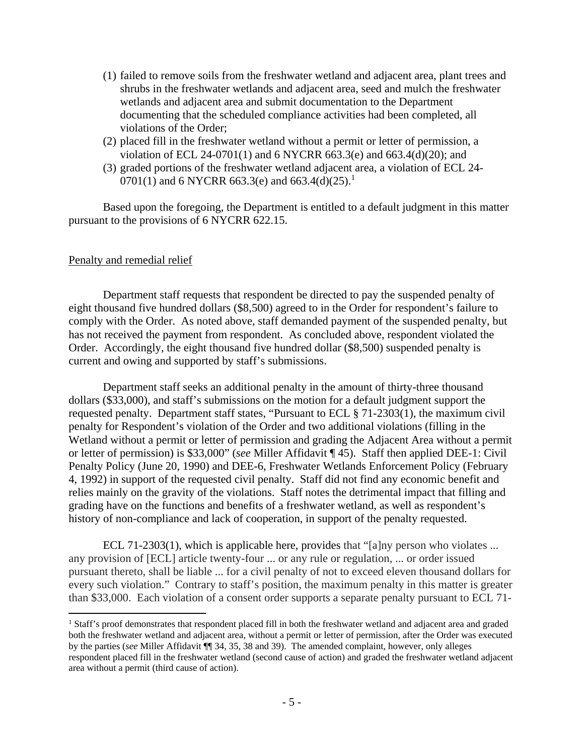- (1) failed to remove soils from the freshwater wetland and adjacent area, plant trees and shrubs in the freshwater wetlands and adjacent area, seed and mulch the freshwater wetlands and adjacent area and submit documentation to the Department documenting that the scheduled compliance activities had been completed, all violations of the Order;
- (2) placed fill in the freshwater wetland without a permit or letter of permission, a violation of ECL 24-0701(1) and 6 NYCRR 663.3(e) and 663.4(d)(20); and
- (3) graded portions of the freshwater wetland adjacent area, a violation of ECL 24- 0701(1) and 6 NYCRR 663.3(e) and 663.4(d)(25).<sup>1</sup>

Based upon the foregoing, the Department is entitled to a default judgment in this matter pursuant to the provisions of 6 NYCRR 622.15.

#### Penalty and remedial relief

 $\overline{a}$ 

Department staff requests that respondent be directed to pay the suspended penalty of eight thousand five hundred dollars (\$8,500) agreed to in the Order for respondent's failure to comply with the Order. As noted above, staff demanded payment of the suspended penalty, but has not received the payment from respondent. As concluded above, respondent violated the Order. Accordingly, the eight thousand five hundred dollar (\$8,500) suspended penalty is current and owing and supported by staff's submissions.

Department staff seeks an additional penalty in the amount of thirty-three thousand dollars (\$33,000), and staff's submissions on the motion for a default judgment support the requested penalty. Department staff states, "Pursuant to ECL § 71-2303(1), the maximum civil penalty for Respondent's violation of the Order and two additional violations (filling in the Wetland without a permit or letter of permission and grading the Adjacent Area without a permit or letter of permission) is \$33,000" (*see* Miller Affidavit ¶ 45). Staff then applied DEE-1: Civil Penalty Policy (June 20, 1990) and DEE-6, Freshwater Wetlands Enforcement Policy (February 4, 1992) in support of the requested civil penalty. Staff did not find any economic benefit and relies mainly on the gravity of the violations. Staff notes the detrimental impact that filling and grading have on the functions and benefits of a freshwater wetland, as well as respondent's history of non-compliance and lack of cooperation, in support of the penalty requested.

ECL 71-2303(1), which is applicable here, provides that "[a]ny person who violates ... any provision of [ECL] article twenty-four ... or any rule or regulation, ... or order issued pursuant thereto, shall be liable ... for a civil penalty of not to exceed eleven thousand dollars for every such violation." Contrary to staff's position, the maximum penalty in this matter is greater than \$33,000. Each violation of a consent order supports a separate penalty pursuant to ECL 71-

<sup>&</sup>lt;sup>1</sup> Staff's proof demonstrates that respondent placed fill in both the freshwater wetland and adjacent area and graded both the freshwater wetland and adjacent area, without a permit or letter of permission, after the Order was executed by the parties (*see* Miller Affidavit ¶¶ 34, 35, 38 and 39). The amended complaint, however, only alleges respondent placed fill in the freshwater wetland (second cause of action) and graded the freshwater wetland adjacent area without a permit (third cause of action).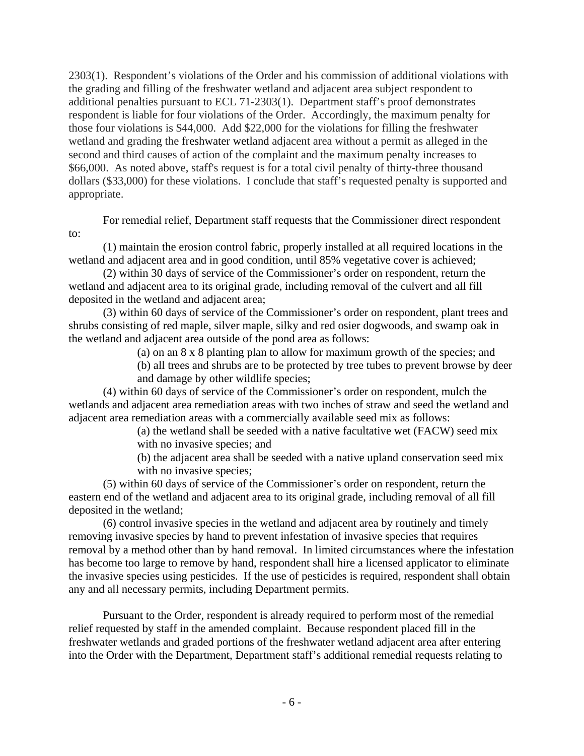2303(1). Respondent's violations of the Order and his commission of additional violations with the grading and filling of the freshwater wetland and adjacent area subject respondent to additional penalties pursuant to ECL 71-2303(1). Department staff's proof demonstrates respondent is liable for four violations of the Order. Accordingly, the maximum penalty for those four violations is \$44,000. Add \$22,000 for the violations for filling the freshwater wetland and grading the freshwater wetland adjacent area without a permit as alleged in the second and third causes of action of the complaint and the maximum penalty increases to \$66,000. As noted above, staff's request is for a total civil penalty of thirty-three thousand dollars (\$33,000) for these violations. I conclude that staff's requested penalty is supported and appropriate.

 For remedial relief, Department staff requests that the Commissioner direct respondent to:

(1) maintain the erosion control fabric, properly installed at all required locations in the wetland and adjacent area and in good condition, until 85% vegetative cover is achieved;

(2) within 30 days of service of the Commissioner's order on respondent, return the wetland and adjacent area to its original grade, including removal of the culvert and all fill deposited in the wetland and adjacent area;

(3) within 60 days of service of the Commissioner's order on respondent, plant trees and shrubs consisting of red maple, silver maple, silky and red osier dogwoods, and swamp oak in the wetland and adjacent area outside of the pond area as follows:

(a) on an 8 x 8 planting plan to allow for maximum growth of the species; and

(b) all trees and shrubs are to be protected by tree tubes to prevent browse by deer and damage by other wildlife species;

(4) within 60 days of service of the Commissioner's order on respondent, mulch the wetlands and adjacent area remediation areas with two inches of straw and seed the wetland and adjacent area remediation areas with a commercially available seed mix as follows:

(a) the wetland shall be seeded with a native facultative wet (FACW) seed mix with no invasive species; and

(b) the adjacent area shall be seeded with a native upland conservation seed mix with no invasive species;

(5) within 60 days of service of the Commissioner's order on respondent, return the eastern end of the wetland and adjacent area to its original grade, including removal of all fill deposited in the wetland;

(6) control invasive species in the wetland and adjacent area by routinely and timely removing invasive species by hand to prevent infestation of invasive species that requires removal by a method other than by hand removal. In limited circumstances where the infestation has become too large to remove by hand, respondent shall hire a licensed applicator to eliminate the invasive species using pesticides. If the use of pesticides is required, respondent shall obtain any and all necessary permits, including Department permits.

Pursuant to the Order, respondent is already required to perform most of the remedial relief requested by staff in the amended complaint. Because respondent placed fill in the freshwater wetlands and graded portions of the freshwater wetland adjacent area after entering into the Order with the Department, Department staff's additional remedial requests relating to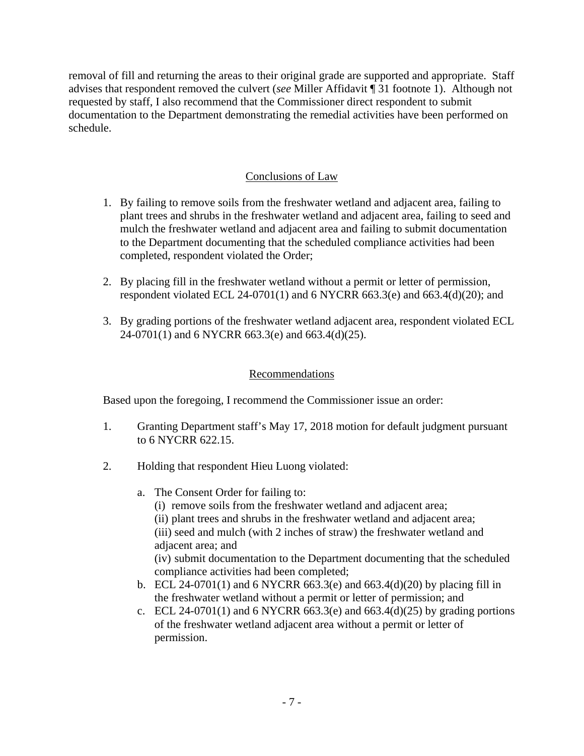removal of fill and returning the areas to their original grade are supported and appropriate. Staff advises that respondent removed the culvert (*see* Miller Affidavit ¶ 31 footnote 1). Although not requested by staff, I also recommend that the Commissioner direct respondent to submit documentation to the Department demonstrating the remedial activities have been performed on schedule.

# Conclusions of Law

- 1. By failing to remove soils from the freshwater wetland and adjacent area, failing to plant trees and shrubs in the freshwater wetland and adjacent area, failing to seed and mulch the freshwater wetland and adjacent area and failing to submit documentation to the Department documenting that the scheduled compliance activities had been completed, respondent violated the Order;
- 2. By placing fill in the freshwater wetland without a permit or letter of permission, respondent violated ECL 24-0701(1) and 6 NYCRR 663.3(e) and 663.4(d)(20); and
- 3. By grading portions of the freshwater wetland adjacent area, respondent violated ECL 24-0701(1) and 6 NYCRR 663.3(e) and 663.4(d)(25).

### Recommendations

Based upon the foregoing, I recommend the Commissioner issue an order:

- 1. Granting Department staff's May 17, 2018 motion for default judgment pursuant to 6 NYCRR 622.15.
- 2. Holding that respondent Hieu Luong violated:
	- a. The Consent Order for failing to:
		- (i) remove soils from the freshwater wetland and adjacent area;

(ii) plant trees and shrubs in the freshwater wetland and adjacent area; (iii) seed and mulch (with 2 inches of straw) the freshwater wetland and adjacent area; and

(iv) submit documentation to the Department documenting that the scheduled compliance activities had been completed;

- b. ECL 24-0701(1) and 6 NYCRR 663.3(e) and 663.4(d)(20) by placing fill in the freshwater wetland without a permit or letter of permission; and
- c. ECL 24-0701(1) and 6 NYCRR 663.3(e) and 663.4(d)(25) by grading portions of the freshwater wetland adjacent area without a permit or letter of permission.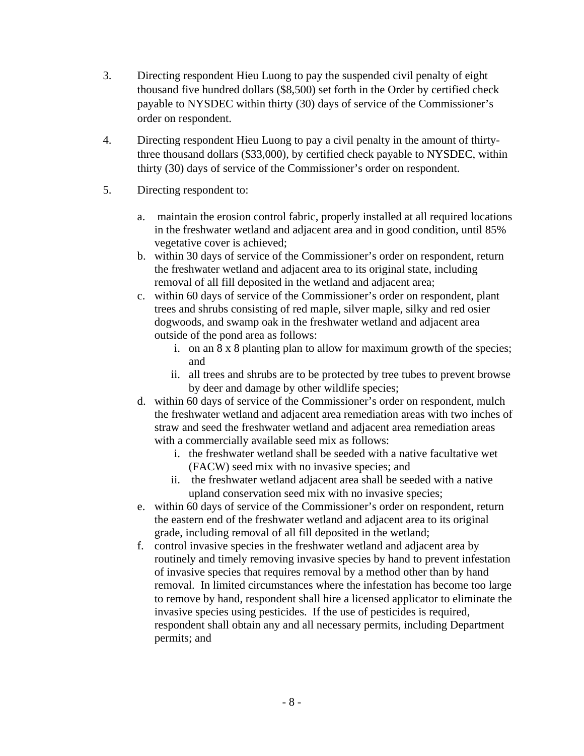- 3. Directing respondent Hieu Luong to pay the suspended civil penalty of eight thousand five hundred dollars (\$8,500) set forth in the Order by certified check payable to NYSDEC within thirty (30) days of service of the Commissioner's order on respondent.
- 4. Directing respondent Hieu Luong to pay a civil penalty in the amount of thirtythree thousand dollars (\$33,000), by certified check payable to NYSDEC, within thirty (30) days of service of the Commissioner's order on respondent.
- 5. Directing respondent to:
	- a. maintain the erosion control fabric, properly installed at all required locations in the freshwater wetland and adjacent area and in good condition, until 85% vegetative cover is achieved;
	- b. within 30 days of service of the Commissioner's order on respondent, return the freshwater wetland and adjacent area to its original state, including removal of all fill deposited in the wetland and adjacent area;
	- c. within 60 days of service of the Commissioner's order on respondent, plant trees and shrubs consisting of red maple, silver maple, silky and red osier dogwoods, and swamp oak in the freshwater wetland and adjacent area outside of the pond area as follows:
		- i. on an 8 x 8 planting plan to allow for maximum growth of the species; and
		- ii. all trees and shrubs are to be protected by tree tubes to prevent browse by deer and damage by other wildlife species;
	- d. within 60 days of service of the Commissioner's order on respondent, mulch the freshwater wetland and adjacent area remediation areas with two inches of straw and seed the freshwater wetland and adjacent area remediation areas with a commercially available seed mix as follows:
		- i. the freshwater wetland shall be seeded with a native facultative wet (FACW) seed mix with no invasive species; and
		- ii. the freshwater wetland adjacent area shall be seeded with a native upland conservation seed mix with no invasive species;
	- e. within 60 days of service of the Commissioner's order on respondent, return the eastern end of the freshwater wetland and adjacent area to its original grade, including removal of all fill deposited in the wetland;
	- f. control invasive species in the freshwater wetland and adjacent area by routinely and timely removing invasive species by hand to prevent infestation of invasive species that requires removal by a method other than by hand removal. In limited circumstances where the infestation has become too large to remove by hand, respondent shall hire a licensed applicator to eliminate the invasive species using pesticides. If the use of pesticides is required, respondent shall obtain any and all necessary permits, including Department permits; and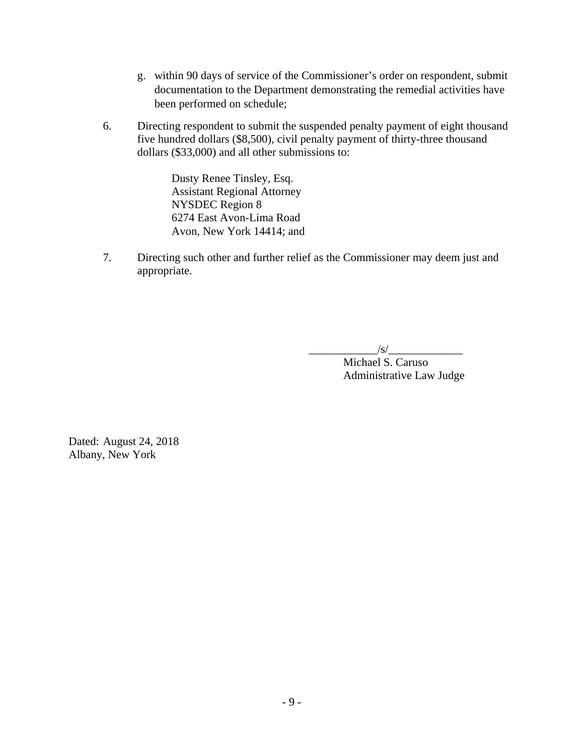- g. within 90 days of service of the Commissioner's order on respondent, submit documentation to the Department demonstrating the remedial activities have been performed on schedule;
- 6. Directing respondent to submit the suspended penalty payment of eight thousand five hundred dollars (\$8,500), civil penalty payment of thirty-three thousand dollars (\$33,000) and all other submissions to:

Dusty Renee Tinsley, Esq. Assistant Regional Attorney NYSDEC Region 8 6274 East Avon-Lima Road Avon, New York 14414; and

7. Directing such other and further relief as the Commissioner may deem just and appropriate.

 $\sqrt{s}$ /

Michael S. Caruso Administrative Law Judge

Dated: August 24, 2018 Albany, New York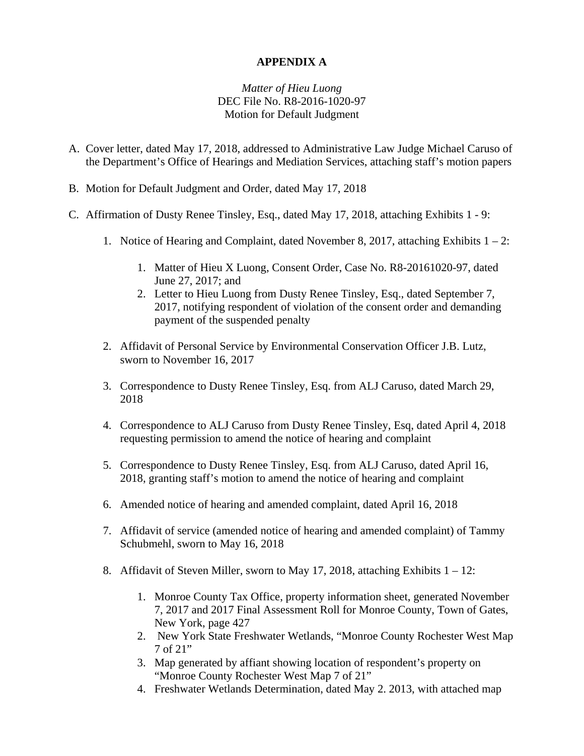### **APPENDIX A**

# *Matter of Hieu Luong* DEC File No. R8-2016-1020-97 Motion for Default Judgment

- A. Cover letter, dated May 17, 2018, addressed to Administrative Law Judge Michael Caruso of the Department's Office of Hearings and Mediation Services, attaching staff's motion papers
- B. Motion for Default Judgment and Order, dated May 17, 2018
- C. Affirmation of Dusty Renee Tinsley, Esq., dated May 17, 2018, attaching Exhibits 1 9:
	- 1. Notice of Hearing and Complaint, dated November 8, 2017, attaching Exhibits 1 2:
		- 1. Matter of Hieu X Luong, Consent Order, Case No. R8-20161020-97, dated June 27, 2017; and
		- 2. Letter to Hieu Luong from Dusty Renee Tinsley, Esq., dated September 7, 2017, notifying respondent of violation of the consent order and demanding payment of the suspended penalty
	- 2. Affidavit of Personal Service by Environmental Conservation Officer J.B. Lutz, sworn to November 16, 2017
	- 3. Correspondence to Dusty Renee Tinsley, Esq. from ALJ Caruso, dated March 29, 2018
	- 4. Correspondence to ALJ Caruso from Dusty Renee Tinsley, Esq, dated April 4, 2018 requesting permission to amend the notice of hearing and complaint
	- 5. Correspondence to Dusty Renee Tinsley, Esq. from ALJ Caruso, dated April 16, 2018, granting staff's motion to amend the notice of hearing and complaint
	- 6. Amended notice of hearing and amended complaint, dated April 16, 2018
	- 7. Affidavit of service (amended notice of hearing and amended complaint) of Tammy Schubmehl, sworn to May 16, 2018
	- 8. Affidavit of Steven Miller, sworn to May 17, 2018, attaching Exhibits 1 12:
		- 1. Monroe County Tax Office, property information sheet, generated November 7, 2017 and 2017 Final Assessment Roll for Monroe County, Town of Gates, New York, page 427
		- 2. New York State Freshwater Wetlands, "Monroe County Rochester West Map 7 of 21"
		- 3. Map generated by affiant showing location of respondent's property on "Monroe County Rochester West Map 7 of 21"
		- 4. Freshwater Wetlands Determination, dated May 2. 2013, with attached map